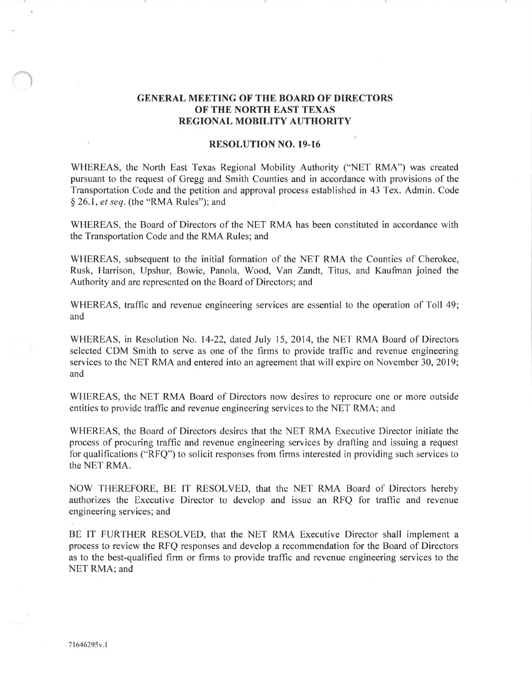## GENERAL MEETING OF THE BOARD OF DIRECTORS OF THE NORTH EAST TEXAS REGIONAL MOBILITY AUTHORITY

## RESOLUTION NO. 19-16

WHEREAS, the North East Texas Regional Mobility Authority ("NET RMA") was created pursuant to the request of Gregg and Smith Counties and in accordance with provisions of the Transportation Code and the petition and approval process established in 43 Tex. Admin. Code \$ 26.1 , et seq. (the "RMA Rules"); and

WHEREAS, the Board of Directors of the NET RMA has been constituted in accordance with the Transportation Code and the RMA Rules; and

WHEREAS, subsequent to the initial formation of the NET RMA the Counties of Cherokee, Rusk, Harrison, Upshur, Bowie, Panola, Wood, Yan Zandt, Titus, and Kaufman joined the Authority and are represented on the Board of Directors; and

WHEREAS, traffic and revenue engineering services are essential to the operation of Toll 49; and

WHEREAS, in Resolution No. 14-22, dated July 15, 2014, the NET RMA Board of Directors selected CDM Smith to serve as one of the firms to provide traffic and revenue engineering services to the NET RMA and entered into an agreement that will expire on November 30, 2019; and

WHEREAS, the NET RMA Board of Directors now desires to reprocure one or more outside entities to provide traffic and revenue engineering services to the NET RMA; and

WHEREAS, the Board of Directors desires that the NET RMA Executive Director initiate the process of procuring traffìc and revenue engineering services by drafting and issuing a request for qualifications ("RFQ") to solicit responses from firms interested in providing such services to the NET RMA.

NOW THEREFORE, BE IT RESOLVED, that the NET RMA Board of Directors hereby authorizes the Executive Director to develop and issue an RFQ for trafhc and revenue engineering services; and

BE IT FURTHER RESOLVED, that the NET RMA Executive Director shall implement <sup>a</sup> process to review the RFQ responses and develop a recommendation for the Board of Directors as to the best-qualified firm or firms to provide traffic and revenue engineering services to the NET RMA; and